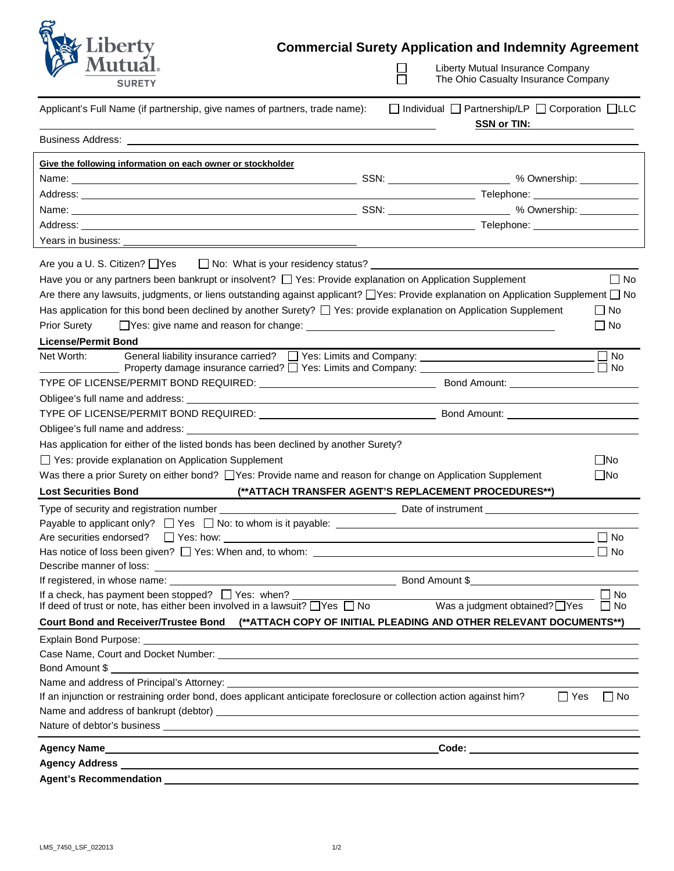| liberty<br><b>SURETY</b>                                                                                                                                                                                                                                                                              |                                                                                             | <b>Commercial Surety Application and Indemnity Agreement</b><br>Liberty Mutual Insurance Company<br>The Ohio Casualty Insurance Company |                        |  |
|-------------------------------------------------------------------------------------------------------------------------------------------------------------------------------------------------------------------------------------------------------------------------------------------------------|---------------------------------------------------------------------------------------------|-----------------------------------------------------------------------------------------------------------------------------------------|------------------------|--|
| Applicant's Full Name (if partnership, give names of partners, trade name):                                                                                                                                                                                                                           | $\Box$ Individual $\Box$ Partnership/LP $\Box$ Corporation $\Box$ LLC<br><b>SSN or TIN:</b> |                                                                                                                                         |                        |  |
| <b>Business Address: William Science Address and Science Address and Science Address and Science Address and Science Address and Science Address and Science Address and Science Address and Science Address and Science Address</b>                                                                  |                                                                                             |                                                                                                                                         |                        |  |
| Give the following information on each owner or stockholder                                                                                                                                                                                                                                           |                                                                                             |                                                                                                                                         |                        |  |
|                                                                                                                                                                                                                                                                                                       |                                                                                             |                                                                                                                                         |                        |  |
|                                                                                                                                                                                                                                                                                                       |                                                                                             |                                                                                                                                         |                        |  |
|                                                                                                                                                                                                                                                                                                       |                                                                                             |                                                                                                                                         |                        |  |
|                                                                                                                                                                                                                                                                                                       |                                                                                             |                                                                                                                                         |                        |  |
| Years in business:                                                                                                                                                                                                                                                                                    |                                                                                             |                                                                                                                                         |                        |  |
| Have you or any partners been bankrupt or insolvent? $\Box$ Yes: Provide explanation on Application Supplement                                                                                                                                                                                        |                                                                                             |                                                                                                                                         | $\Box$ No              |  |
| Are there any lawsuits, judgments, or liens outstanding against applicant? TYes: Provide explanation on Application Supplement T No                                                                                                                                                                   |                                                                                             |                                                                                                                                         |                        |  |
| Has application for this bond been declined by another Surety? $\Box$ Yes: provide explanation on Application Supplement                                                                                                                                                                              |                                                                                             |                                                                                                                                         | ∐ No                   |  |
| <b>Prior Surety</b><br>$\Box$ Yes: give name and reason for change: $\Box$                                                                                                                                                                                                                            |                                                                                             |                                                                                                                                         | $\Box$ No              |  |
| <b>License/Permit Bond</b>                                                                                                                                                                                                                                                                            |                                                                                             |                                                                                                                                         |                        |  |
| Net Worth:                                                                                                                                                                                                                                                                                            |                                                                                             |                                                                                                                                         | $\Box$ No              |  |
|                                                                                                                                                                                                                                                                                                       |                                                                                             |                                                                                                                                         |                        |  |
|                                                                                                                                                                                                                                                                                                       |                                                                                             |                                                                                                                                         |                        |  |
|                                                                                                                                                                                                                                                                                                       |                                                                                             |                                                                                                                                         |                        |  |
|                                                                                                                                                                                                                                                                                                       |                                                                                             |                                                                                                                                         |                        |  |
| Has application for either of the listed bonds has been declined by another Surety?                                                                                                                                                                                                                   |                                                                                             |                                                                                                                                         |                        |  |
| □ Yes: provide explanation on Application Supplement<br>$\Box$ No                                                                                                                                                                                                                                     |                                                                                             |                                                                                                                                         |                        |  |
| Was there a prior Surety on either bond? TYes: Provide name and reason for change on Application Supplement<br>$\Box$ No                                                                                                                                                                              |                                                                                             |                                                                                                                                         |                        |  |
| (** ATTACH TRANSFER AGENT'S REPLACEMENT PROCEDURES**)<br><b>Lost Securities Bond</b>                                                                                                                                                                                                                  |                                                                                             |                                                                                                                                         |                        |  |
| Type of security and registration number                                                                                                                                                                                                                                                              |                                                                                             | Date of instrument                                                                                                                      |                        |  |
| Payable to applicant only? $\Box$ Yes $\Box$ No: to whom is it payable: $\Box$                                                                                                                                                                                                                        |                                                                                             |                                                                                                                                         |                        |  |
|                                                                                                                                                                                                                                                                                                       |                                                                                             |                                                                                                                                         | $\Box$ No              |  |
|                                                                                                                                                                                                                                                                                                       |                                                                                             |                                                                                                                                         | $\Box$ No              |  |
|                                                                                                                                                                                                                                                                                                       |                                                                                             |                                                                                                                                         |                        |  |
|                                                                                                                                                                                                                                                                                                       |                                                                                             |                                                                                                                                         |                        |  |
| If a check, has payment been stopped? $\Box$ Yes: when?<br>If a check, has payment been stopped? $\Box$ Yes: when? $\Box$ Yes $\Box$ No Was a judgment obtained? $\Box$ Yes If deed of trust or note, has either been involved in a lawsuit? $\Box$ Yes $\Box$ No Was a judgment obtained? $\Box$ Yes |                                                                                             |                                                                                                                                         | $\Box$ No<br>$\Box$ No |  |
| Court Bond and Receiver/Trustee Bond (** ATTACH COPY OF INITIAL PLEADING AND OTHER RELEVANT DOCUMENTS**)                                                                                                                                                                                              |                                                                                             |                                                                                                                                         |                        |  |
| Explain Bond Purpose: <u>explaint of the contract of the contract of the contract of the contract of the contract of the contract of the contract of the contract of the contract of the contract of the contract of the contrac</u>                                                                  |                                                                                             |                                                                                                                                         |                        |  |
|                                                                                                                                                                                                                                                                                                       |                                                                                             |                                                                                                                                         |                        |  |
|                                                                                                                                                                                                                                                                                                       |                                                                                             |                                                                                                                                         |                        |  |
| Name and address of Principal's Attorney: <b>We are also asset to the control of the control of the control of the control of the control of the control of the control of the control of the control of the control of the cont</b>                                                                  |                                                                                             |                                                                                                                                         |                        |  |
| If an injunction or restraining order bond, does applicant anticipate foreclosure or collection action against him?                                                                                                                                                                                   |                                                                                             | $\Box$ Yes                                                                                                                              | $\Box$ No              |  |
|                                                                                                                                                                                                                                                                                                       |                                                                                             |                                                                                                                                         |                        |  |
|                                                                                                                                                                                                                                                                                                       |                                                                                             |                                                                                                                                         |                        |  |
|                                                                                                                                                                                                                                                                                                       |                                                                                             |                                                                                                                                         |                        |  |
|                                                                                                                                                                                                                                                                                                       |                                                                                             |                                                                                                                                         |                        |  |
|                                                                                                                                                                                                                                                                                                       |                                                                                             |                                                                                                                                         |                        |  |
|                                                                                                                                                                                                                                                                                                       |                                                                                             |                                                                                                                                         |                        |  |